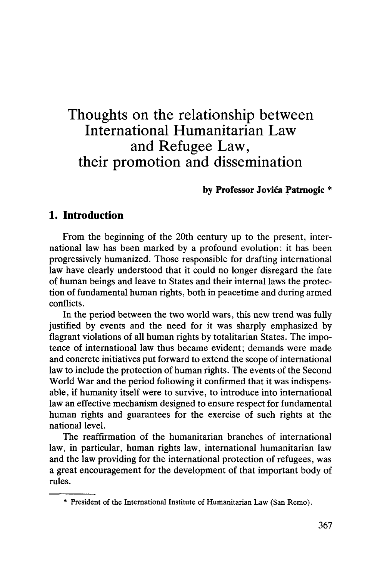# Thoughts on the relationship between International Humanitarian Law and Refugee Law, their promotion and dissemination

### **by Professor Jovica Patrnogic \***

### **1. Introduction**

From the beginning of the 20th century up to the present, international law has been marked by a profound evolution: it has been progressively humanized. Those responsible for drafting international law have clearly understood that it could no longer disregard the fate of human beings and leave to States and their internal laws the protection of fundamental human rights, both in peacetime and during armed conflicts.

In the period between the two world wars, this new trend was fully justified by events and the need for it was sharply emphasized by flagrant violations of all human rights by totalitarian States. The impotence of international law thus became evident; demands were made and concrete initiatives put forward to extend the scope of international law to include the protection of human rights. The events of the Second World War and the period following it confirmed that it was indispensable, if humanity itself were to survive, to introduce into international law an effective mechanism designed to ensure respect for fundamental human rights and guarantees for the exercise of such rights at the national level.

The reaffirmation of the humanitarian branches of international law, in particular, human rights law, international humanitarian law and the law providing for the international protection of refugees, was a great encouragement for the development of that important body of rules.

<sup>\*</sup> President of the International Institute of Humanitarian Law (San Remo).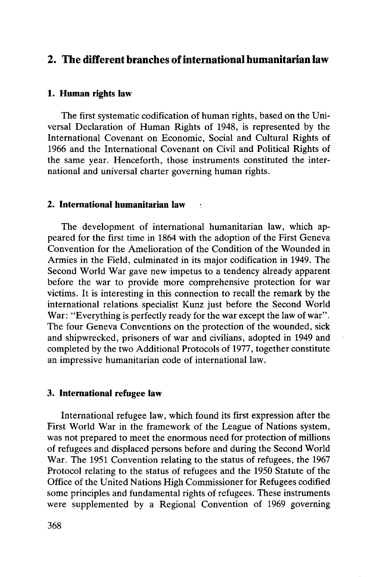# **2. The different branches of international humanitarian law**

#### **1. Human rights law**

The first systematic codification of human rights, based on the Universal Declaration of Human Rights of 1948, is represented by the International Covenant on Economic, Social and Cultural Rights of 1966 and the International Covenant on Civil and Political Rights of the same year. Henceforth, those instruments constituted the international and universal charter governing human rights.

#### **2. International humanitarian law**

The development of international humanitarian law, which appeared for the first time in 1864 with the adoption of the First Geneva Convention for the Amelioration of the Condition of the Wounded in Armies in the Field, culminated in its major codification in 1949. The Second World War gave new impetus to a tendency already apparent before the war to provide more comprehensive protection for war victims. It is interesting in this connection to recall the remark by the international relations specialist Kunz just before the Second World War: "Everything is perfectly ready for the war except the law of war". The four Geneva Conventions on the protection of the wounded, sick and shipwrecked, prisoners of war and civilians, adopted in 1949 and completed by the two Additional Protocols of 1977, together constitute an impressive humanitarian code of international law.

#### **3. International refugee law**

International refugee law, which found its first expression after the First World War in the framework of the League of Nations system, was not prepared to meet the enormous need for protection of millions of refugees and displaced persons before and during the Second World War. The 1951 Convention relating to the status of refugees, the 1967 Protocol relating to the status of refugees and the 1950 Statute of the Office of the United Nations High Commissioner for Refugees codified some principles and fundamental rights of refugees. These instruments were supplemented by a Regional Convention of 1969 governing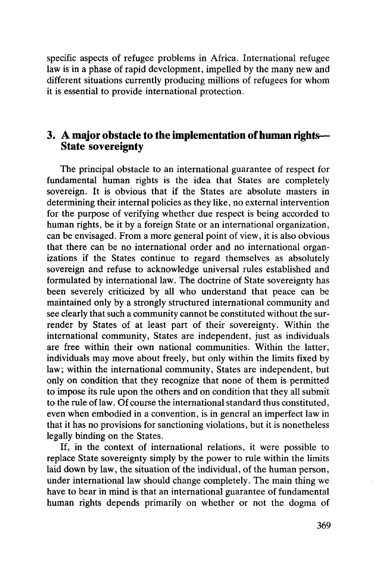specific aspects of refugee problems in Africa. International refugee law is in a phase of rapid development, impelled by the many new and different situations currently producing millions of refugees for whom it is essential to provide international protection.

## **3. A major obstacle to the implementation of human rights— State sovereignty**

The principal obstacle to an international guarantee of respect for fundamental human rights is the idea that States are completely sovereign. It is obvious that if the States are absolute masters in determining their internal policies as they like, no external intervention for the purpose of verifying whether due respect is being accorded to human rights, be it by a foreign State or an international organization, can be envisaged. From a more general point of view, it is also obvious that there can be no international order and no international organizations if the States continue to regard themselves as absolutely sovereign and refuse to acknowledge universal rules established and formulated by international law. The doctrine of State sovereignty has been severely criticized by all who understand that peace can be maintained only by a strongly structured international community and see clearly that such a community cannot be constituted without the surrender by States of at least part of their sovereignty. Within the international community, States are independent, just as individuals are free within their own national communities. Within the latter, individuals may move about freely, but only within the limits fixed by law; within the international community, States are independent, but only on condition that they recognize that none of them is permitted to impose its rule upon the others and on condition that they all submit to the rule of law. Of course the international standard thus constituted, even when embodied in a convention, is in general an imperfect law in that it has no provisions for sanctioning violations, but it is nonetheless legally binding on the States.

If, in the context of international relations, it were possible to replace State sovereignty simply by the power to rule within the limits laid down by law, the situation of the individual, of the human person, under international law should change completely. The main thing we have to bear in mind is that an international guarantee of fundamental human rights depends primarily on whether or not the dogma of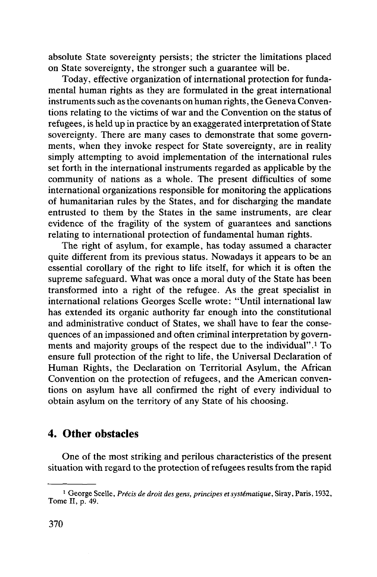absolute State sovereignty persists; the stricter the limitations placed on State sovereignty, the stronger such a guarantee will be.

Today, effective organization of international protection for fundamental human rights as they are formulated in the great international instruments such as the covenants on human rights, the Geneva Conventions relating to the victims of war and the Convention on the status of refugees, is held up in practice by an exaggerated interpretation of State sovereignty. There are many cases to demonstrate that some governments, when they invoke respect for State sovereignty, are in reality simply attempting to avoid implementation of the international rules set forth in the international instruments regarded as applicable by the community of nations as a whole. The present difficulties of some international organizations responsible for monitoring the applications of humanitarian rules by the States, and for discharging the mandate entrusted to them by the States in the same instruments, are clear evidence of the fragility of the system of guarantees and sanctions relating to international protection of fundamental human rights.

The right of asylum, for example, has today assumed a character quite different from its previous status. Nowadays it appears to be an essential corollary of the right to life itself, for which it is often the supreme safeguard. What was once a moral duty of the State has been transformed into a right of the refugee. As the great specialist in international relations Georges Scelle wrote: "Until international law has extended its organic authority far enough into the constitutional and administrative conduct of States, we shall have to fear the consequences of an impassioned and often criminal interpretation by governments and majority groups of the respect due to the individual".<sup>1</sup> To ensure full protection of the right to life, the Universal Declaration of Human Rights, the Declaration on Territorial Asylum, the African Convention on the protection of refugees, and the American conventions on asylum have all confirmed the right of every individual to obtain asylum on the territory of any State of his choosing.

# **4. Other obstacles**

One of the most striking and perilous characteristics of the present situation with regard to the protection of refugees results from the rapid

<sup>&</sup>lt;sup>1</sup> George Scelle, *Précis de droit des gens, principes et systématique*, Siray, Paris, 1932, Tome II, p. 49.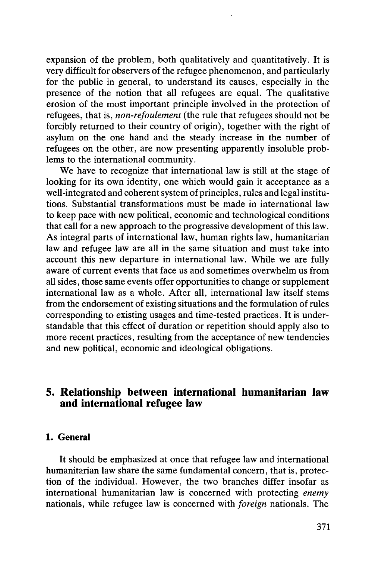expansion of the problem, both qualitatively and quantitatively. It is very difficult for observers of the refugee phenomenon, and particularly for the public in general, to understand its causes, especially in the presence of the notion that all refugees are equal. The qualitative erosion of the most important principle involved in the protection of refugees, that is, *non-refoulement* (the rule that refugees should not be forcibly returned to their country of origin), together with the right of asylum on the one hand and the steady increase in the number of refugees on the other, are now presenting apparently insoluble problems to the international community.

We have to recognize that international law is still at the stage of looking for its own identity, one which would gain it acceptance as a well-integrated and coherent system of principles, rules and legal institutions. Substantial transformations must be made in international law to keep pace with new political, economic and technological conditions that call for a new approach to the progressive development of this law. As integral parts of international law, human rights law, humanitarian law and refugee law are all in the same situation and must take into account this new departure in international law. While we are fully aware of current events that face us and sometimes overwhelm us from all sides, those same events offer opportunities to change or supplement international law as a whole. After all, international law itself stems from the endorsement of existing situations and the formulation of rules corresponding to existing usages and time-tested practices. It is understandable that this effect of duration or repetition should apply also to more recent practices, resulting from the acceptance of new tendencies and new political, economic and ideological obligations.

# **5. Relationship between international humanitarian law and international refugee law**

#### **1. General**

It should be emphasized at once that refugee law and international humanitarian law share the same fundamental concern, that is, protection of the individual. However, the two branches differ insofar as international humanitarian law is concerned with protecting *enemy* nationals, while refugee law is concerned with *foreign* nationals. The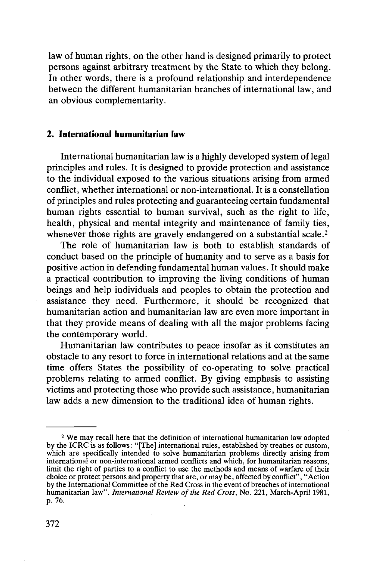law of human rights, on the other hand is designed primarily to protect persons against arbitrary treatment by the State to which they belong. In other words, there is a profound relationship and interdependence between the different humanitarian branches of international law, and an obvious complementarity.

#### **2. International humanitarian law**

International humanitarian law is a highly developed system of legal principles and rules. It is designed to provide protection and assistance to the individual exposed to the various situations arising from armed conflict, whether international or non-international. It is a constellation of principles and rules protecting and guaranteeing certain fundamental human rights essential to human survival, such as the right to life, health, physical and mental integrity and maintenance of family ties, whenever those rights are gravely endangered on a substantial scale.<sup>2</sup>

The role of humanitarian law is both to establish standards of conduct based on the principle of humanity and to serve as a basis for positive action in defending fundamental human values. It should make a practical contribution to improving the living conditions of human beings and help individuals and peoples to obtain the protection and assistance they need. Furthermore, it should be recognized that humanitarian action and humanitarian law are even more important in that they provide means of dealing with all the major problems facing the contemporary world.

Humanitarian law contributes to peace insofar as it constitutes an obstacle to any resort to force in international relations and at the same time offers States the possibility of co-operating to solve practical problems relating to armed conflict. By giving emphasis to assisting victims and protecting those who provide such assistance, humanitarian law adds a new dimension to the traditional idea of human rights.

<sup>&</sup>lt;sup>2</sup> We may recall here that the definition of international humanitarian law adopted by the ICRC is as follows: "[The] international rules, established by treaties or custom,<br>which are specifically intended to solve humanitarian problems directly arising from<br>international or non-international armed confli humanitarian law". *International Review of the Red Cross,* No. 221, March-April 1981, p. 76.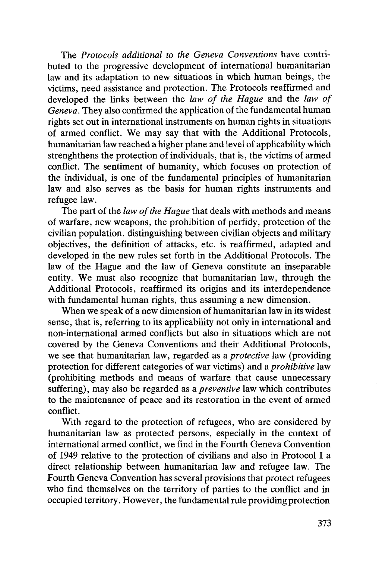The *Protocols additional to the Geneva Conventions* have contributed to the progressive development of international humanitarian law and its adaptation to new situations in which human beings, the victims, need assistance and protection. The Protocols reaffirmed and developed the links between the *law of the Hague* and the *law of Geneva.* They also confirmed the application of the fundamental human rights set out in international instruments on human rights in situations of armed conflict. We may say that with the Additional Protocols, humanitarian law reached a higher plane and level of applicability which strenghthens the protection of individuals, that is, the victims of armed conflict. The sentiment of humanity, which focuses on protection of the individual, is one of the fundamental principles of humanitarian law and also serves as the basis for human rights instruments and refugee law.

The part of the *law of the Hague* that deals with methods and means of warfare, new weapons, the prohibition of perfidy, protection of the civilian population, distinguishing between civilian objects and military objectives, the definition of attacks, etc. is reaffirmed, adapted and developed in the new rules set forth in the Additional Protocols. The law of the Hague and the law of Geneva constitute an inseparable entity. We must also recognize that humanitarian law, through the Additional Protocols, reaffirmed its origins and its interdependence with fundamental human rights, thus assuming a new dimension.

When we speak of a new dimension of humanitarian law in its widest sense, that is, referring to its applicability not only in international and non-international armed conflicts but also in situations which are not covered by the Geneva Conventions and their Additional Protocols, we see that humanitarian law, regarded as a *protective* law (providing protection for different categories of war victims) and a *prohibitive* law (prohibiting methods and means of warfare that cause unnecessary suffering), may also be regarded as *a preventive* law which contributes to the maintenance of peace and its restoration in the event of armed conflict.

With regard to the protection of refugees, who are considered by humanitarian law as protected persons, especially in the context of international armed conflict, we find in the Fourth Geneva Convention of 1949 relative to the protection of civilians and also in Protocol I a direct relationship between humanitarian law and refugee law. The Fourth Geneva Convention has several provisions that protect refugees who find themselves on the territory of parties to the conflict and in occupied territory. However, the fundamental rule providing protection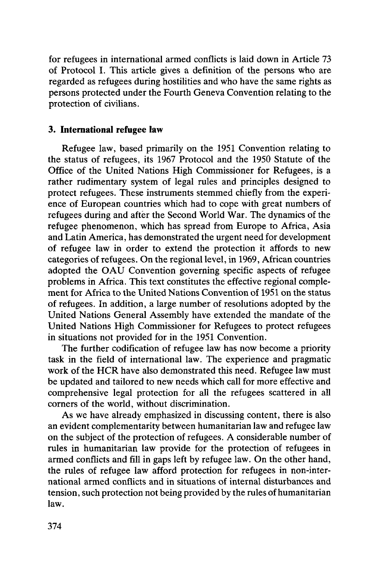for refugees in international armed conflicts is laid down in Article 73 of Protocol I. This article gives a definition of the persons who are regarded as refugees during hostilities and who have the same rights as persons protected under the Fourth Geneva Convention relating to the protection of civilians.

### **3. International refugee law**

Refugee law, based primarily on the 1951 Convention relating to the status of refugees, its 1967 Protocol and the 1950 Statute of the Office of the United Nations High Commissioner for Refugees, is a rather rudimentary system of legal rules and principles designed to protect refugees. These instruments stemmed chiefly from the experience of European countries which had to cope with great numbers of refugees during and after the Second World War. The dynamics of the refugee phenomenon, which has spread from Europe to Africa, Asia and Latin America, has demonstrated the urgent need for development of refugee law in order to extend the protection it affords to new categories of refugees. On the regional level, in 1969, African countries adopted the OAU Convention governing specific aspects of refugee problems in Africa. This text constitutes the effective regional complement for Africa to the United Nations Convention of 1951 on the status of refugees. In addition, a large number of resolutions adopted by the United Nations General Assembly have extended the mandate of the United Nations High Commissioner for Refugees to protect refugees in situations not provided for in the 1951 Convention.

The further codification of refugee law has now become a priority task in the field of international law. The experience and pragmatic work of the HCR have also demonstrated this need. Refugee law must be updated and tailored to new needs which call for more effective and comprehensive legal protection for all the refugees scattered in all corners of the world, without discrimination.

As we have already emphasized in discussing content, there is also an evident complementarity between humanitarian law and refugee law on the subject of the protection of refugees. A considerable number of rules in humanitarian law provide for the protection of refugees in armed conflicts and fill in gaps left by refugee law. On the other hand, the rules of refugee law afford protection for refugees in non-international armed conflicts and in situations of internal disturbances and tension, such protection not being provided by the rules of humanitarian law.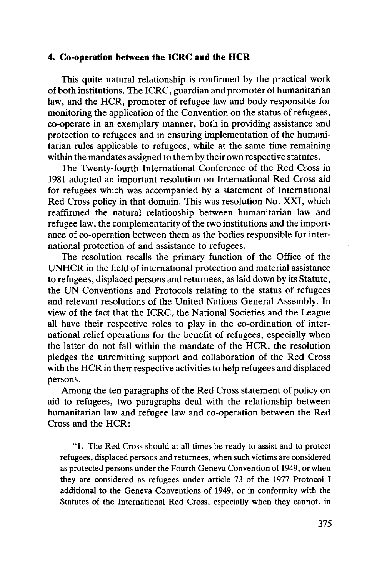#### **4. Co-operation between the ICRC and the HCR**

This quite natural relationship is confirmed by the practical work of both institutions. The ICRC, guardian and promoter of humanitarian law, and the HCR, promoter of refugee law and body responsible for monitoring the application of the Convention on the status of refugees, co-operate in an exemplary manner, both in providing assistance and protection to refugees and in ensuring implementation of the humanitarian rules applicable to refugees, while at the same time remaining within the mandates assigned to them by their own respective statutes.

The Twenty-fourth International Conference of the Red Cross in 1981 adopted an important resolution on International Red Cross aid for refugees which was accompanied by a statement of International Red Cross policy in that domain. This was resolution No. XXI, which reaffirmed the natural relationship between humanitarian law and refugee law, the complementarity of the two institutions and the importance of co-operation between them as the bodies responsible for international protection of and assistance to refugees.

The resolution recalls the primary function of the Office of the UNHCR in the field of international protection and material assistance to refugees, displaced persons and returnees, as laid down by its Statute, the UN Conventions and Protocols relating to the status of refugees and relevant resolutions of the United Nations General Assembly. In view of the fact that the ICRC, the National Societies and the League all have their respective roles to play in the co-ordination of international relief operations for the benefit of refugees, especially when the latter do not fall within the mandate of the HCR, the resolution pledges the unremitting support and collaboration of the Red Cross with the HCR in their respective activities to help refugees and displaced persons.

Among the ten paragraphs of the Red Cross statement of policy on aid to refugees, two paragraphs deal with the relationship between humanitarian law and refugee law and co-operation between the Red Cross and the HCR:

"1. The Red Cross should at all times be ready to assist and to protect refugees, displaced persons and returnees, when such victims are considered as protected persons under the Fourth Geneva Convention of 1949, or when they are considered as refugees under article 73 of the 1977 Protocol I additional to the Geneva Conventions of 1949, or in conformity with the Statutes of the International Red Cross, especially when they cannot, in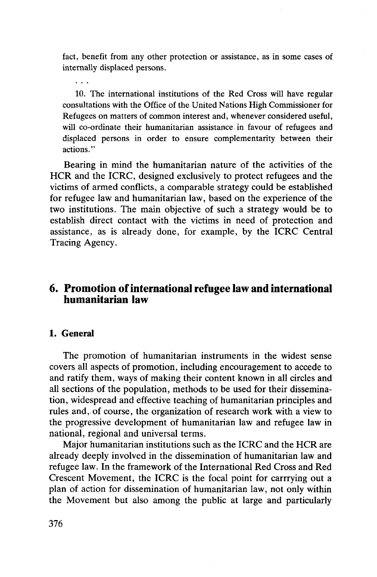fact, benefit from any other protection or assistance, as in some cases of internally displaced persons.

10. The international institutions of the Red Cross will have regular consultations with the Office of the United Nations High Commissioner for Refugees on matters of common interest and, whenever considered useful, will co-ordinate their humanitarian assistance in favour of refugees and displaced persons in order to ensure complementarity between their actions."

Bearing in mind the humanitarian nature of the activities of the HCR and the ICRC, designed exclusively to protect refugees and the victims of armed conflicts, a comparable strategy could be established for refugee law and humanitarian law, based on the experience of the two institutions. The main objective of such a strategy would be to establish direct contact with the victims in need of protection and assistance, as is already done, for example, by the ICRC Central Tracing Agency.

## **6. Promotion of international refugee law and international humanitarian law**

#### **1. General**

 $\mathbb{R}^n$ 

The promotion of humanitarian instruments in the widest sense covers all aspects of promotion, including encouragement to accede to and ratify them, ways of making their content known in all circles and all sections of the population, methods to be used for their dissemination, widespread and effective teaching of humanitarian principles and rules and, of course, the organization of research work with a view to the progressive development of humanitarian law and refugee law in national, regional and universal terms.

Major humanitarian institutions such as the ICRC and the HCR are already deeply involved in the dissemination of humanitarian law and refugee law. In the framework of the International Red Cross and Red Crescent Movement, the ICRC is the focal point for carrrying out a plan of action for dissemination of humanitarian law, not only within the Movement but also among the public at large and particularly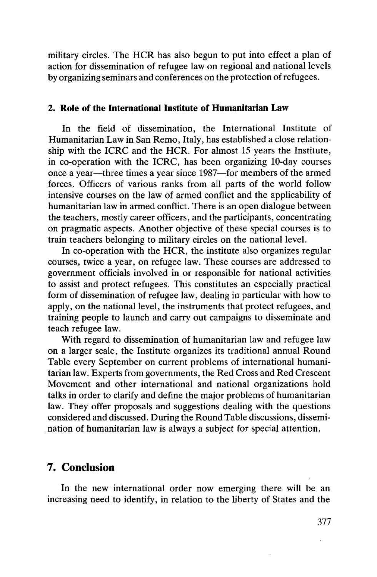military circles. The HCR has also begun to put into effect a plan of action for dissemination of refugee law on regional and national levels by organizing seminars and conferences on the protection of refugees.

#### **2. Role of the International Institute of Humanitarian Law**

In the field of dissemination, the International Institute of Humanitarian Law in San Remo, Italy, has established a close relationship with the ICRC and the HCR. For almost 15 years the Institute, in co-operation with the ICRC, has been organizing 10-day courses once a year—three times a year since 1987—for members of the armed forces. Officers of various ranks from all parts of the world follow intensive courses on the law of armed conflict and the applicability of humanitarian law in armed conflict. There is an open dialogue between the teachers, mostly career officers, and the participants, concentrating on pragmatic aspects. Another objective of these special courses is to train teachers belonging to military circles on the national level.

In co-operation with the HCR, the institute also organizes regular courses, twice a year, on refugee law. These courses are addressed to government officials involved in or responsible for national activities to assist and protect refugees. This constitutes an especially practical form of dissemination of refugee law, dealing in particular with how to apply, on the national level, the instruments that protect refugees, and training people to launch and carry out campaigns to disseminate and teach refugee law.

With regard to dissemination of humanitarian law and refugee law on a larger scale, the Institute organizes its traditional annual Round Table every September on current problems of international humanitarian law. Experts from governments, the Red Cross and Red Crescent Movement and other international and national organizations hold talks in order to clarify and define the major problems of humanitarian law. They offer proposals and suggestions dealing with the questions considered and discussed. During the Round Table discussions, dissemination of humanitarian law is always a subject for special attention.

### **7. Conclusion**

In the new international order now emerging there will be an increasing need to identify, in relation to the liberty of States and the